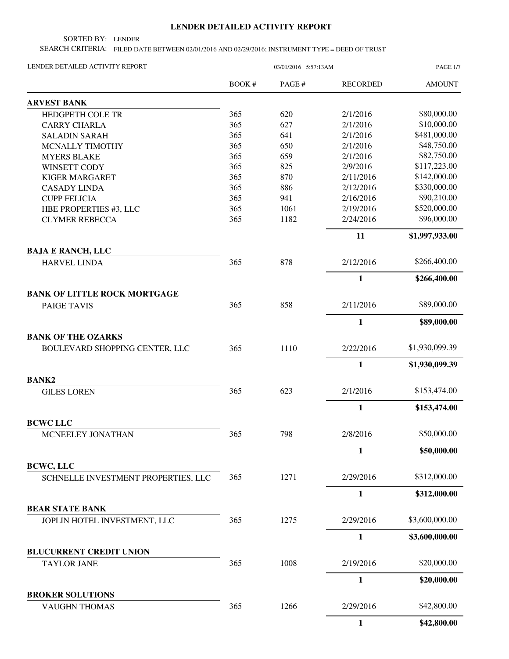## **LENDER DETAILED ACTIVITY REPORT**

SORTED BY: LENDER

SEARCH CRITERIA: FILED DATE BETWEEN 02/01/2016 AND 02/29/2016; INSTRUMENT TYPE = DEED OF TRUST

| LENDER DETAILED ACTIVITY REPORT                 |        | <b>PAGE 1/7</b> |                 |                |
|-------------------------------------------------|--------|-----------------|-----------------|----------------|
|                                                 | BOOK # | PAGE#           | <b>RECORDED</b> | <b>AMOUNT</b>  |
| <b>ARVEST BANK</b>                              |        |                 |                 |                |
| <b>HEDGPETH COLE TR</b>                         | 365    | 620             | 2/1/2016        | \$80,000.00    |
| <b>CARRY CHARLA</b>                             | 365    | 627             | 2/1/2016        | \$10,000.00    |
| <b>SALADIN SARAH</b>                            | 365    | 641             | 2/1/2016        | \$481,000.00   |
| MCNALLY TIMOTHY                                 | 365    | 650             | 2/1/2016        | \$48,750.00    |
| <b>MYERS BLAKE</b>                              | 365    | 659             | 2/1/2016        | \$82,750.00    |
| WINSETT CODY                                    | 365    | 825             | 2/9/2016        | \$117,223.00   |
| <b>KIGER MARGARET</b>                           | 365    | 870             | 2/11/2016       | \$142,000.00   |
| <b>CASADY LINDA</b>                             | 365    | 886             | 2/12/2016       | \$330,000.00   |
| <b>CUPP FELICIA</b>                             | 365    | 941             | 2/16/2016       | \$90,210.00    |
| HBE PROPERTIES #3, LLC                          | 365    | 1061            | 2/19/2016       | \$520,000.00   |
| <b>CLYMER REBECCA</b>                           | 365    | 1182            | 2/24/2016       | \$96,000.00    |
|                                                 |        |                 | 11              | \$1,997,933.00 |
| <b>BAJA E RANCH, LLC</b><br><b>HARVEL LINDA</b> | 365    | 878             | 2/12/2016       | \$266,400.00   |
|                                                 |        |                 | 1               | \$266,400.00   |
| <b>BANK OF LITTLE ROCK MORTGAGE</b>             |        |                 |                 |                |
| PAIGE TAVIS                                     | 365    | 858             | 2/11/2016       | \$89,000.00    |
|                                                 |        |                 | $\mathbf{1}$    | \$89,000.00    |
| <b>BANK OF THE OZARKS</b>                       |        |                 |                 |                |
| BOULEVARD SHOPPING CENTER, LLC                  | 365    | 1110            | 2/22/2016       | \$1,930,099.39 |
|                                                 |        |                 | 1               | \$1,930,099.39 |
| <b>BANK2</b><br><b>GILES LOREN</b>              | 365    | 623             | 2/1/2016        | \$153,474.00   |
|                                                 |        |                 | $\mathbf{1}$    | \$153,474.00   |
| <b>BCWC LLC</b>                                 |        |                 |                 |                |
| MCNEELEY JONATHAN                               | 365    | 798             | 2/8/2016        | \$50,000.00    |
|                                                 |        |                 | $\mathbf{1}$    | \$50,000.00    |
| <b>BCWC, LLC</b>                                |        |                 |                 |                |
| SCHNELLE INVESTMENT PROPERTIES, LLC             | 365    | 1271            | 2/29/2016       | \$312,000.00   |
| <b>BEAR STATE BANK</b>                          |        |                 | 1               | \$312,000.00   |
| JOPLIN HOTEL INVESTMENT, LLC                    | 365    | 1275            | 2/29/2016       | \$3,600,000.00 |
|                                                 |        |                 | $\mathbf{1}$    | \$3,600,000.00 |
| <b>BLUCURRENT CREDIT UNION</b>                  |        |                 |                 |                |
| <b>TAYLOR JANE</b>                              | 365    | 1008            | 2/19/2016       | \$20,000.00    |
|                                                 |        |                 | $\mathbf{1}$    | \$20,000.00    |
| <b>BROKER SOLUTIONS</b><br><b>VAUGHN THOMAS</b> | 365    | 1266            | 2/29/2016       | \$42,800.00    |
|                                                 |        |                 | $\mathbf{1}$    | \$42,800.00    |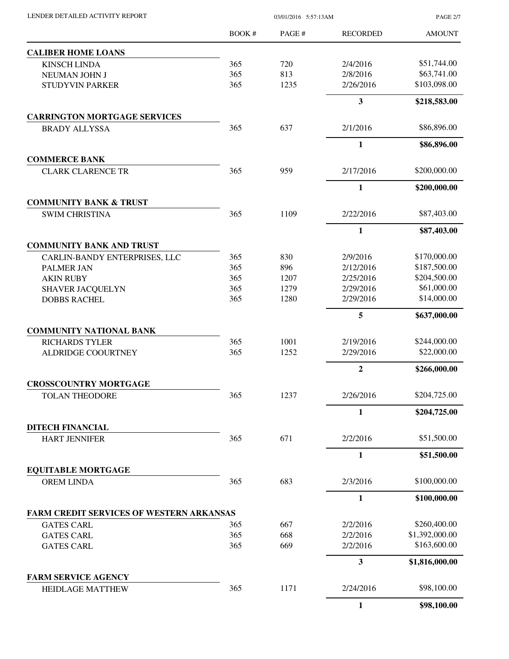| LENDER DETAILED ACTIVITY REPORT |  |
|---------------------------------|--|
|                                 |  |

03/01/2016 5:57:13AM

PAGE 2/7

|                                                            | <b>BOOK#</b> | PAGE#        | <b>RECORDED</b>        | <b>AMOUNT</b>                |
|------------------------------------------------------------|--------------|--------------|------------------------|------------------------------|
| <b>CALIBER HOME LOANS</b>                                  |              |              |                        |                              |
| <b>KINSCH LINDA</b>                                        | 365          | 720          | 2/4/2016               | \$51,744.00                  |
| NEUMAN JOHN J                                              | 365          | 813          | 2/8/2016               | \$63,741.00                  |
| STUDYVIN PARKER                                            | 365          | 1235         | 2/26/2016              | \$103,098.00                 |
|                                                            |              |              | 3                      | \$218,583.00                 |
| <b>CARRINGTON MORTGAGE SERVICES</b>                        |              |              |                        |                              |
| <b>BRADY ALLYSSA</b>                                       | 365          | 637          | 2/1/2016               | \$86,896.00                  |
|                                                            |              |              | $\mathbf{1}$           | \$86,896.00                  |
| <b>COMMERCE BANK</b>                                       |              |              |                        |                              |
| <b>CLARK CLARENCE TR</b>                                   | 365          | 959          | 2/17/2016              | \$200,000.00                 |
|                                                            |              |              | $\mathbf{1}$           | \$200,000.00                 |
| <b>COMMUNITY BANK &amp; TRUST</b><br><b>SWIM CHRISTINA</b> | 365          | 1109         | 2/22/2016              | \$87,403.00                  |
|                                                            |              |              |                        |                              |
|                                                            |              |              | $\mathbf{1}$           | \$87,403.00                  |
| <b>COMMUNITY BANK AND TRUST</b>                            |              |              |                        |                              |
| CARLIN-BANDY ENTERPRISES, LLC                              | 365          | 830          | 2/9/2016               | \$170,000.00                 |
| PALMER JAN                                                 | 365          | 896          | 2/12/2016              | \$187,500.00<br>\$204,500.00 |
| <b>AKIN RUBY</b>                                           | 365          | 1207         | 2/25/2016              | \$61,000.00                  |
| <b>SHAVER JACQUELYN</b>                                    | 365<br>365   | 1279<br>1280 | 2/29/2016<br>2/29/2016 | \$14,000.00                  |
| <b>DOBBS RACHEL</b>                                        |              |              |                        |                              |
|                                                            |              |              | 5                      | \$637,000.00                 |
| <b>COMMUNITY NATIONAL BANK</b>                             | 365          | 1001         | 2/19/2016              | \$244,000.00                 |
| <b>RICHARDS TYLER</b><br><b>ALDRIDGE COOURTNEY</b>         | 365          | 1252         | 2/29/2016              | \$22,000.00                  |
|                                                            |              |              |                        |                              |
| <b>CROSSCOUNTRY MORTGAGE</b>                               |              |              | $\overline{2}$         | \$266,000.00                 |
| <b>TOLAN THEODORE</b>                                      | 365          | 1237         | 2/26/2016              | \$204,725.00                 |
|                                                            |              |              | 1                      | \$204,725.00                 |
| <b>DITECH FINANCIAL</b>                                    |              |              |                        |                              |
| <b>HART JENNIFER</b>                                       | 365          | 671          | 2/2/2016               | \$51,500.00                  |
|                                                            |              |              | $\mathbf{1}$           | \$51,500.00                  |
| <b>EQUITABLE MORTGAGE</b>                                  |              |              |                        |                              |
| OREM LINDA                                                 | 365          | 683          | 2/3/2016               | \$100,000.00                 |
|                                                            |              |              | $\mathbf{1}$           | \$100,000.00                 |
| <b>FARM CREDIT SERVICES OF WESTERN ARKANSAS</b>            |              |              |                        |                              |
| <b>GATES CARL</b>                                          | 365          | 667          | 2/2/2016               | \$260,400.00                 |
| <b>GATES CARL</b>                                          | 365          | 668          | 2/2/2016               | \$1,392,000.00               |
| <b>GATES CARL</b>                                          | 365          | 669          | 2/2/2016               | \$163,600.00                 |
|                                                            |              |              | 3                      | \$1,816,000.00               |
| <b>FARM SERVICE AGENCY</b><br><b>HEIDLAGE MATTHEW</b>      | 365          | 1171         | 2/24/2016              | \$98,100.00                  |
|                                                            |              |              | $\mathbf{1}$           | \$98,100.00                  |
|                                                            |              |              |                        |                              |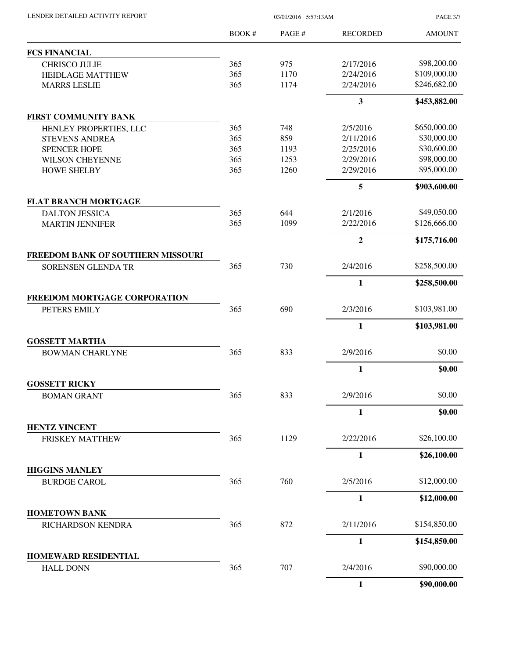| LENDER DETAILED ACTIVITY REPORT              | 03/01/2016 5:57:13AM |                                                                        |                 | <b>PAGE 3/7</b> |  |
|----------------------------------------------|----------------------|------------------------------------------------------------------------|-----------------|-----------------|--|
|                                              | BOOK #               | PAGE #                                                                 | <b>RECORDED</b> | <b>AMOUNT</b>   |  |
| <b>FCS FINANCIAL</b>                         |                      |                                                                        |                 |                 |  |
| <b>CHRISCO JULIE</b>                         | 365                  | 975                                                                    | 2/17/2016       | \$98,200.00     |  |
| <b>HEIDLAGE MATTHEW</b>                      | 365                  | 1170                                                                   | 2/24/2016       | \$109,000.00    |  |
| <b>MARRS LESLIE</b>                          | 365                  | 1174                                                                   | 2/24/2016       | \$246,682.00    |  |
|                                              |                      |                                                                        | 3               | \$453,882.00    |  |
| FIRST COMMUNITY BANK                         |                      |                                                                        |                 |                 |  |
| HENLEY PROPERTIES, LLC                       | 365                  | 748                                                                    | 2/5/2016        | \$650,000.00    |  |
| <b>STEVENS ANDREA</b>                        | 365                  |                                                                        | 2/11/2016       | \$30,000.00     |  |
| <b>SPENCER HOPE</b>                          | 365                  | 1193                                                                   | 2/25/2016       | \$30,600.00     |  |
| <b>WILSON CHEYENNE</b>                       | 365                  |                                                                        | 2/29/2016       | \$98,000.00     |  |
| <b>HOWE SHELBY</b>                           | 365                  | 859<br>1253<br>1260<br>644<br>1099<br>730<br>690<br>833<br>833<br>1129 | 2/29/2016       | \$95,000.00     |  |
|                                              |                      |                                                                        | 5               | \$903,600.00    |  |
| <b>FLAT BRANCH MORTGAGE</b>                  |                      |                                                                        |                 |                 |  |
| <b>DALTON JESSICA</b>                        | 365                  |                                                                        | 2/1/2016        | \$49,050.00     |  |
| <b>MARTIN JENNIFER</b>                       | 365                  |                                                                        | 2/22/2016       | \$126,666.00    |  |
|                                              |                      |                                                                        | $\overline{2}$  | \$175,716.00    |  |
| FREEDOM BANK OF SOUTHERN MISSOURI            | 365                  |                                                                        | 2/4/2016        | \$258,500.00    |  |
| SORENSEN GLENDA TR                           |                      |                                                                        |                 |                 |  |
|                                              |                      |                                                                        | 1               | \$258,500.00    |  |
| FREEDOM MORTGAGE CORPORATION<br>PETERS EMILY | 365                  |                                                                        | 2/3/2016        | \$103,981.00    |  |
|                                              |                      |                                                                        | $\mathbf{1}$    | \$103,981.00    |  |
| <b>GOSSETT MARTHA</b>                        |                      |                                                                        |                 |                 |  |
| <b>BOWMAN CHARLYNE</b>                       | 365                  |                                                                        | 2/9/2016        | \$0.00          |  |
|                                              |                      |                                                                        | $\mathbf{1}$    | \$0.00          |  |
| <b>GOSSETT RICKY</b>                         |                      |                                                                        |                 |                 |  |
| <b>BOMAN GRANT</b>                           | 365                  |                                                                        | 2/9/2016        | \$0.00          |  |
|                                              |                      |                                                                        | 1               | \$0.00          |  |
| <b>HENTZ VINCENT</b>                         |                      |                                                                        |                 |                 |  |
| <b>FRISKEY MATTHEW</b>                       | 365                  |                                                                        | 2/22/2016       | \$26,100.00     |  |
|                                              |                      |                                                                        | $\mathbf{1}$    | \$26,100.00     |  |
| <b>HIGGINS MANLEY</b>                        |                      |                                                                        |                 |                 |  |
| <b>BURDGE CAROL</b>                          | 365                  | 760                                                                    | 2/5/2016        | \$12,000.00     |  |
|                                              |                      |                                                                        | $\mathbf{1}$    | \$12,000.00     |  |
| <b>HOMETOWN BANK</b>                         |                      |                                                                        |                 |                 |  |
| RICHARDSON KENDRA                            | 365                  | 872                                                                    | 2/11/2016       | \$154,850.00    |  |
|                                              |                      |                                                                        | $\mathbf{1}$    | \$154,850.00    |  |
| HOMEWARD RESIDENTIAL<br><b>HALL DONN</b>     | 365                  | 707                                                                    | 2/4/2016        | \$90,000.00     |  |
|                                              |                      |                                                                        | 1               | \$90,000.00     |  |
|                                              |                      |                                                                        |                 |                 |  |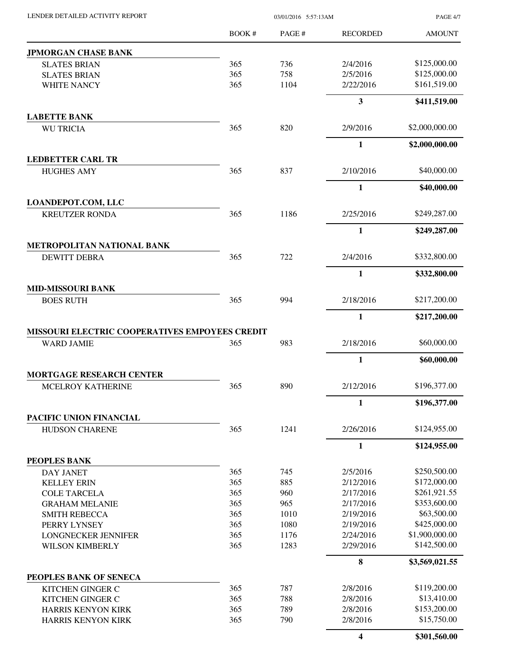PAGE 4/7

|                                                | <b>BOOK#</b> | PAGE # | <b>RECORDED</b>         | <b>AMOUNT</b>  |
|------------------------------------------------|--------------|--------|-------------------------|----------------|
| <b>JPMORGAN CHASE BANK</b>                     |              |        |                         |                |
| <b>SLATES BRIAN</b>                            | 365          | 736    | 2/4/2016                | \$125,000.00   |
| <b>SLATES BRIAN</b>                            | 365          | 758    | 2/5/2016                | \$125,000.00   |
| WHITE NANCY                                    | 365          | 1104   | 2/22/2016               | \$161,519.00   |
|                                                |              |        | $\overline{\mathbf{3}}$ | \$411,519.00   |
| <b>LABETTE BANK</b>                            |              |        |                         |                |
| <b>WU TRICIA</b>                               | 365          | 820    | 2/9/2016                | \$2,000,000.00 |
|                                                |              |        | 1                       | \$2,000,000.00 |
| <b>LEDBETTER CARL TR</b>                       | 365          | 837    | 2/10/2016               | \$40,000.00    |
| <b>HUGHES AMY</b>                              |              |        |                         |                |
|                                                |              |        | $\mathbf{1}$            | \$40,000.00    |
| LOANDEPOT.COM, LLC<br><b>KREUTZER RONDA</b>    | 365          | 1186   | 2/25/2016               | \$249,287.00   |
|                                                |              |        | $\mathbf{1}$            | \$249,287.00   |
| <b>METROPOLITAN NATIONAL BANK</b>              |              |        |                         |                |
| <b>DEWITT DEBRA</b>                            | 365          | 722    | 2/4/2016                | \$332,800.00   |
|                                                |              |        | 1                       | \$332,800.00   |
| <b>MID-MISSOURI BANK</b>                       |              |        |                         |                |
| <b>BOES RUTH</b>                               | 365          | 994    | 2/18/2016               | \$217,200.00   |
|                                                |              |        | 1                       | \$217,200.00   |
| MISSOURI ELECTRIC COOPERATIVES EMPOYEES CREDIT |              |        |                         |                |
| <b>WARD JAMIE</b>                              | 365          | 983    | 2/18/2016               | \$60,000.00    |
|                                                |              |        | 1                       | \$60,000.00    |
| <b>MORTGAGE RESEARCH CENTER</b>                |              |        |                         |                |
| <b>MCELROY KATHERINE</b>                       | 365          | 890    | 2/12/2016               | \$196,377.00   |
|                                                |              |        | 1                       | \$196,377.00   |
| PACIFIC UNION FINANCIAL                        |              |        |                         |                |
| HUDSON CHARENE                                 | 365          | 1241   | 2/26/2016               | \$124,955.00   |
|                                                |              |        | 1                       | \$124,955.00   |
| PEOPLES BANK                                   |              |        |                         |                |
| <b>DAY JANET</b>                               | 365          | 745    | 2/5/2016                | \$250,500.00   |
| <b>KELLEY ERIN</b>                             | 365          | 885    | 2/12/2016               | \$172,000.00   |
| <b>COLE TARCELA</b>                            | 365          | 960    | 2/17/2016               | \$261,921.55   |
| <b>GRAHAM MELANIE</b>                          | 365          | 965    | 2/17/2016               | \$353,600.00   |
| <b>SMITH REBECCA</b>                           | 365          | 1010   | 2/19/2016               | \$63,500.00    |
| PERRY LYNSEY                                   | 365          | 1080   | 2/19/2016               | \$425,000.00   |
| LONGNECKER JENNIFER                            | 365          | 1176   | 2/24/2016               | \$1,900,000.00 |
| <b>WILSON KIMBERLY</b>                         | 365          | 1283   | 2/29/2016               | \$142,500.00   |
|                                                |              |        | 8                       | \$3,569,021.55 |
| PEOPLES BANK OF SENECA                         |              |        |                         |                |
| <b>KITCHEN GINGER C</b>                        | 365          | 787    | 2/8/2016                | \$119,200.00   |
| <b>KITCHEN GINGER C</b>                        | 365          | 788    | 2/8/2016                | \$13,410.00    |
| <b>HARRIS KENYON KIRK</b>                      | 365          | 789    | 2/8/2016                | \$153,200.00   |
| HARRIS KENYON KIRK                             | 365          | 790    | 2/8/2016                | \$15,750.00    |
|                                                |              |        | 4                       | \$301,560.00   |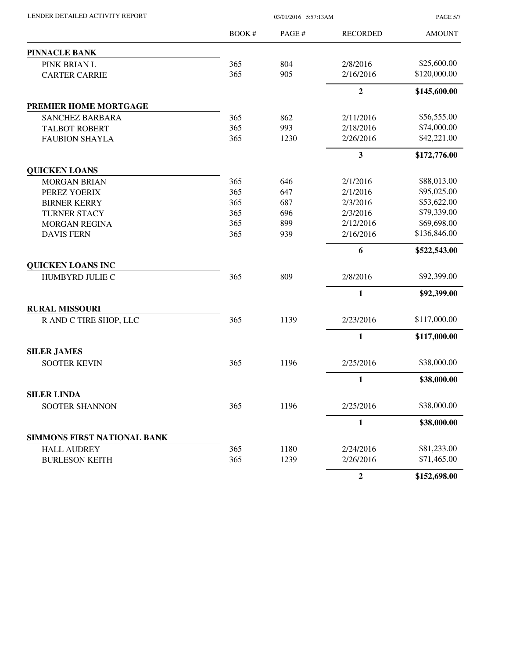| LENDER DETAILED ACTIVITY REPORT<br>03/01/2016 5:57:13AM |        |        |                  | <b>PAGE 5/7</b> |
|---------------------------------------------------------|--------|--------|------------------|-----------------|
|                                                         | BOOK # | PAGE # | <b>RECORDED</b>  | <b>AMOUNT</b>   |
| <b>PINNACLE BANK</b>                                    |        |        |                  |                 |
| PINK BRIAN L                                            | 365    | 804    | 2/8/2016         | \$25,600.00     |
| <b>CARTER CARRIE</b>                                    | 365    | 905    | 2/16/2016        | \$120,000.00    |
|                                                         |        |        | $\boldsymbol{2}$ | \$145,600.00    |
| PREMIER HOME MORTGAGE                                   |        |        |                  |                 |
| <b>SANCHEZ BARBARA</b>                                  | 365    | 862    | 2/11/2016        | \$56,555.00     |
| <b>TALBOT ROBERT</b>                                    | 365    | 993    | 2/18/2016        | \$74,000.00     |
| <b>FAUBION SHAYLA</b>                                   | 365    | 1230   | 2/26/2016        | \$42,221.00     |
|                                                         |        |        | 3                | \$172,776.00    |
| <b>QUICKEN LOANS</b>                                    |        |        |                  |                 |
| <b>MORGAN BRIAN</b>                                     | 365    | 646    | 2/1/2016         | \$88,013.00     |
| PEREZ YOERIX                                            | 365    | 647    | 2/1/2016         | \$95,025.00     |
| <b>BIRNER KERRY</b>                                     | 365    | 687    | 2/3/2016         | \$53,622.00     |
| TURNER STACY                                            | 365    | 696    | 2/3/2016         | \$79,339.00     |
| <b>MORGAN REGINA</b>                                    | 365    | 899    | 2/12/2016        | \$69,698.00     |
| <b>DAVIS FERN</b>                                       | 365    | 939    | 2/16/2016        | \$136,846.00    |
|                                                         |        |        | 6                | \$522,543.00    |
| <b>QUICKEN LOANS INC</b>                                |        |        |                  |                 |
| HUMBYRD JULIE C                                         | 365    | 809    | 2/8/2016         | \$92,399.00     |
|                                                         |        |        | $\mathbf{1}$     | \$92,399.00     |
| <b>RURAL MISSOURI</b>                                   |        |        |                  |                 |
| R AND C TIRE SHOP, LLC                                  | 365    | 1139   | 2/23/2016        | \$117,000.00    |
|                                                         |        |        | $\mathbf{1}$     | \$117,000.00    |
| <b>SILER JAMES</b>                                      |        |        |                  |                 |
| <b>SOOTER KEVIN</b>                                     | 365    | 1196   | 2/25/2016        | \$38,000.00     |
|                                                         |        |        | $\mathbf{1}$     | \$38,000.00     |
| <b>SILER LINDA</b>                                      |        |        |                  |                 |
| <b>SOOTER SHANNON</b>                                   | 365    | 1196   | 2/25/2016        | \$38,000.00     |
|                                                         |        |        | $\mathbf{1}$     | \$38,000.00     |
| <b>SIMMONS FIRST NATIONAL BANK</b>                      |        |        |                  |                 |
| <b>HALL AUDREY</b>                                      | 365    | 1180   | 2/24/2016        | \$81,233.00     |
| <b>BURLESON KEITH</b>                                   | 365    | 1239   | 2/26/2016        | \$71,465.00     |
|                                                         |        |        | $\boldsymbol{2}$ | \$152,698.00    |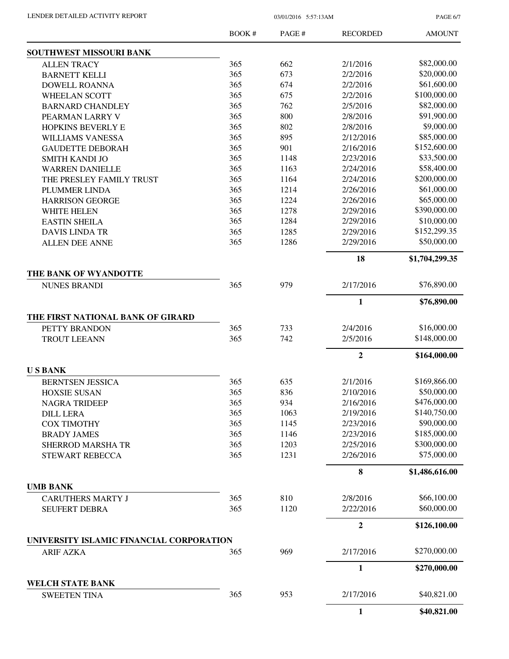PAGE 6/7

|                                                    | BOOK # | PAGE # | <b>RECORDED</b>  | <b>AMOUNT</b>  |
|----------------------------------------------------|--------|--------|------------------|----------------|
| SOUTHWEST MISSOURI BANK                            |        |        |                  |                |
| <b>ALLEN TRACY</b>                                 | 365    | 662    | 2/1/2016         | \$82,000.00    |
| <b>BARNETT KELLI</b>                               | 365    | 673    | 2/2/2016         | \$20,000.00    |
| <b>DOWELL ROANNA</b>                               | 365    | 674    | 2/2/2016         | \$61,600.00    |
| <b>WHEELAN SCOTT</b>                               | 365    | 675    | 2/2/2016         | \$100,000.00   |
| <b>BARNARD CHANDLEY</b>                            | 365    | 762    | 2/5/2016         | \$82,000.00    |
| PEARMAN LARRY V                                    | 365    | 800    | 2/8/2016         | \$91,900.00    |
| HOPKINS BEVERLY E                                  | 365    | 802    | 2/8/2016         | \$9,000.00     |
| <b>WILLIAMS VANESSA</b>                            | 365    | 895    | 2/12/2016        | \$85,000.00    |
| <b>GAUDETTE DEBORAH</b>                            | 365    | 901    | 2/16/2016        | \$152,600.00   |
| <b>SMITH KANDI JO</b>                              | 365    | 1148   | 2/23/2016        | \$33,500.00    |
| <b>WARREN DANIELLE</b>                             | 365    | 1163   | 2/24/2016        | \$58,400.00    |
| THE PRESLEY FAMILY TRUST                           | 365    | 1164   | 2/24/2016        | \$200,000.00   |
| PLUMMER LINDA                                      | 365    | 1214   | 2/26/2016        | \$61,000.00    |
| <b>HARRISON GEORGE</b>                             | 365    | 1224   | 2/26/2016        | \$65,000.00    |
| WHITE HELEN                                        | 365    | 1278   | 2/29/2016        | \$390,000.00   |
| <b>EASTIN SHEILA</b>                               | 365    | 1284   | 2/29/2016        | \$10,000.00    |
| <b>DAVIS LINDA TR</b>                              | 365    | 1285   | 2/29/2016        | \$152,299.35   |
| <b>ALLEN DEE ANNE</b>                              | 365    | 1286   | 2/29/2016        | \$50,000.00    |
|                                                    |        |        | 18               | \$1,704,299.35 |
| THE BANK OF WYANDOTTE<br><b>NUNES BRANDI</b>       | 365    | 979    | 2/17/2016        | \$76,890.00    |
|                                                    |        |        |                  |                |
|                                                    |        |        | $\mathbf{1}$     | \$76,890.00    |
| THE FIRST NATIONAL BANK OF GIRARD<br>PETTY BRANDON | 365    | 733    | 2/4/2016         | \$16,000.00    |
| <b>TROUT LEEANN</b>                                | 365    | 742    | 2/5/2016         | \$148,000.00   |
|                                                    |        |        |                  |                |
| <b>USBANK</b>                                      |        |        | $\boldsymbol{2}$ | \$164,000.00   |
| <b>BERNTSEN JESSICA</b>                            | 365    | 635    | 2/1/2016         | \$169,866.00   |
| <b>HOXSIE SUSAN</b>                                | 365    | 836    | 2/10/2016        | \$50,000.00    |
| <b>NAGRA TRIDEEP</b>                               | 365    | 934    | 2/16/2016        | \$476,000.00   |
| <b>DILL LERA</b>                                   | 365    | 1063   | 2/19/2016        | \$140,750.00   |
| <b>COX TIMOTHY</b>                                 | 365    | 1145   | 2/23/2016        | \$90,000.00    |
| <b>BRADY JAMES</b>                                 | 365    | 1146   | 2/23/2016        | \$185,000.00   |
| <b>SHERROD MARSHA TR</b>                           | 365    | 1203   | 2/25/2016        | \$300,000.00   |
| STEWART REBECCA                                    | 365    | 1231   | 2/26/2016        | \$75,000.00    |
|                                                    |        |        | 8                | \$1,486,616.00 |
| <b>UMB BANK</b>                                    |        |        |                  |                |
| <b>CARUTHERS MARTY J</b>                           | 365    | 810    | 2/8/2016         | \$66,100.00    |
| <b>SEUFERT DEBRA</b>                               | 365    | 1120   | 2/22/2016        | \$60,000.00    |
|                                                    |        |        | $\boldsymbol{2}$ | \$126,100.00   |
| UNIVERSITY ISLAMIC FINANCIAL CORPORATION           |        |        |                  |                |
| <b>ARIF AZKA</b>                                   | 365    | 969    | 2/17/2016        | \$270,000.00   |
| <b>WELCH STATE BANK</b>                            |        |        | $\mathbf{1}$     | \$270,000.00   |
| <b>SWEETEN TINA</b>                                | 365    | 953    | 2/17/2016        | \$40,821.00    |
|                                                    |        |        | $\mathbf{1}$     | \$40,821.00    |